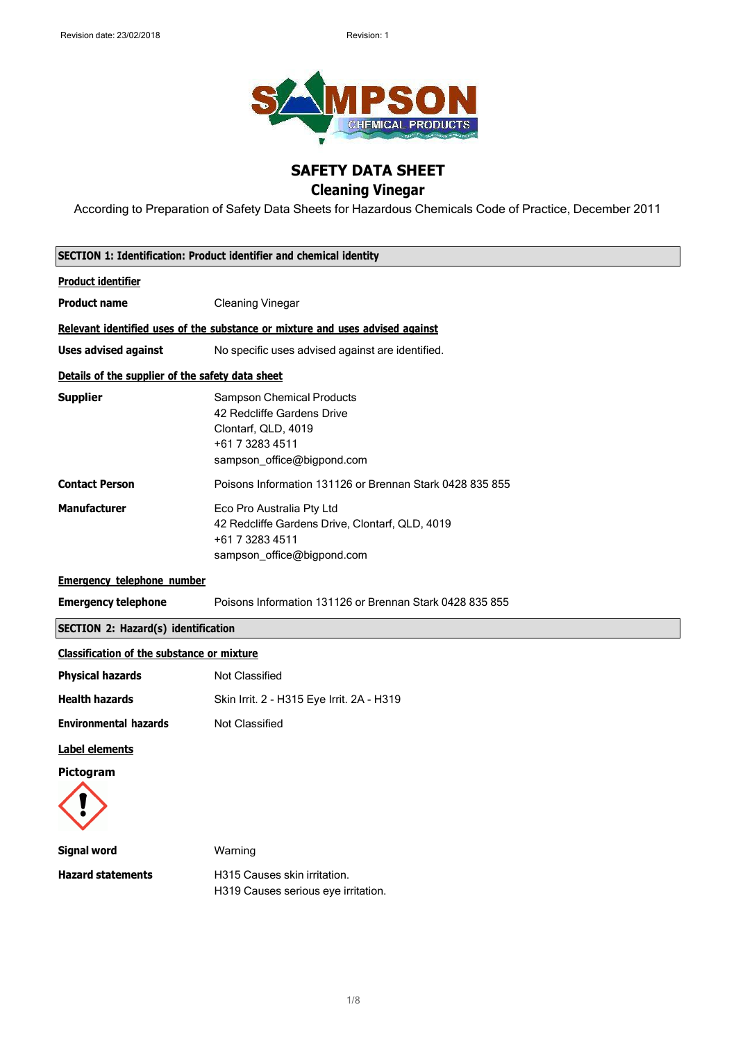

## **SAFETY DATA SHEET**

## **Cleaning Vinegar**

According to Preparation of Safety Data Sheets for Hazardous Chemicals Code of Practice, December 2011

|                                                   | <b>SECTION 1: Identification: Product identifier and chemical identity</b>                                                             |
|---------------------------------------------------|----------------------------------------------------------------------------------------------------------------------------------------|
| <b>Product identifier</b>                         |                                                                                                                                        |
| <b>Product name</b>                               | <b>Cleaning Vinegar</b>                                                                                                                |
|                                                   | Relevant identified uses of the substance or mixture and uses advised against                                                          |
| <b>Uses advised against</b>                       | No specific uses advised against are identified.                                                                                       |
| Details of the supplier of the safety data sheet  |                                                                                                                                        |
| <b>Supplier</b>                                   | <b>Sampson Chemical Products</b><br>42 Redcliffe Gardens Drive<br>Clontarf, QLD, 4019<br>+61 7 3283 4511<br>sampson_office@bigpond.com |
| <b>Contact Person</b>                             | Poisons Information 131126 or Brennan Stark 0428 835 855                                                                               |
| <b>Manufacturer</b>                               | Eco Pro Australia Pty Ltd<br>42 Redcliffe Gardens Drive, Clontarf, QLD, 4019<br>+61 7 3283 4511<br>sampson_office@bigpond.com          |
| <b>Emergency telephone number</b>                 |                                                                                                                                        |
| <b>Emergency telephone</b>                        | Poisons Information 131126 or Brennan Stark 0428 835 855                                                                               |
| <b>SECTION 2: Hazard(s) identification</b>        |                                                                                                                                        |
| <b>Classification of the substance or mixture</b> |                                                                                                                                        |
| <b>Physical hazards</b>                           | <b>Not Classified</b>                                                                                                                  |
| <b>Health hazards</b>                             | Skin Irrit. 2 - H315 Eye Irrit. 2A - H319                                                                                              |
| <b>Environmental hazards</b>                      | Not Classified                                                                                                                         |
| <b>Label elements</b>                             |                                                                                                                                        |
| Pictogram                                         |                                                                                                                                        |
| <b>Signal word</b>                                | Warning                                                                                                                                |
| <b>Hazard statements</b>                          | H315 Causes skin irritation.<br>H319 Causes serious eye irritation.                                                                    |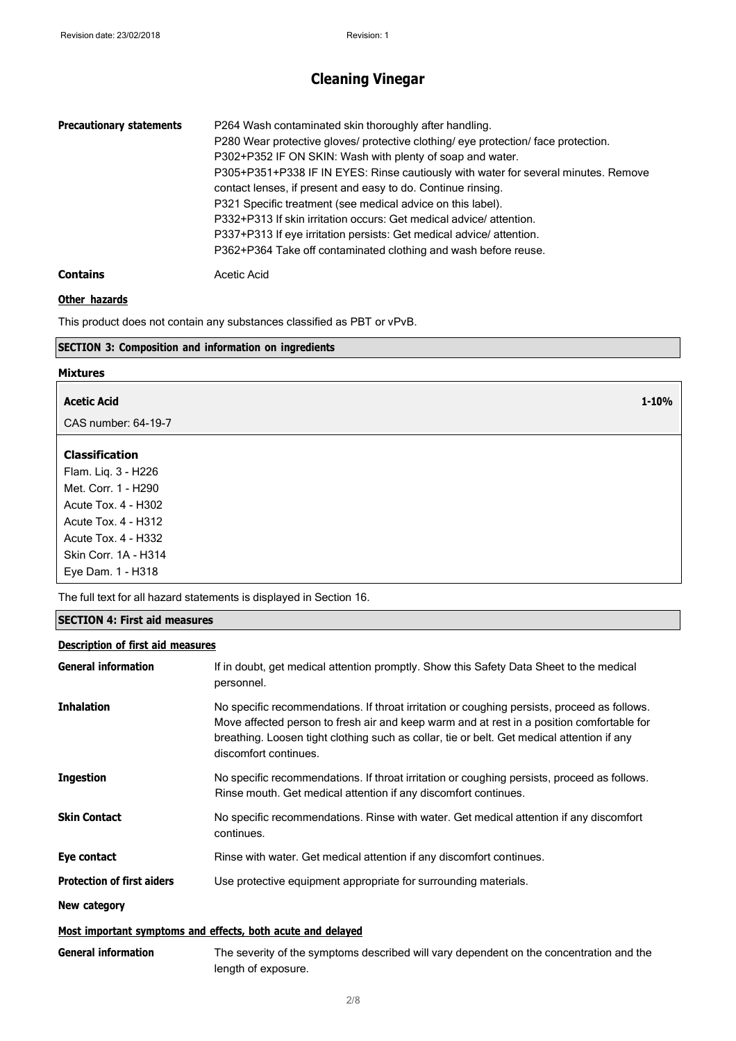| <b>Precautionary statements</b> | P264 Wash contaminated skin thoroughly after handling.                             |
|---------------------------------|------------------------------------------------------------------------------------|
|                                 | P280 Wear protective gloves/ protective clothing/ eye protection/ face protection. |
|                                 | P302+P352 IF ON SKIN: Wash with plenty of soap and water.                          |
|                                 | P305+P351+P338 IF IN EYES: Rinse cautiously with water for several minutes. Remove |
|                                 | contact lenses, if present and easy to do. Continue rinsing.                       |
|                                 | P321 Specific treatment (see medical advice on this label).                        |
|                                 | P332+P313 If skin irritation occurs: Get medical advice/attention.                 |
|                                 | P337+P313 If eye irritation persists: Get medical advice/attention.                |
|                                 | P362+P364 Take off contaminated clothing and wash before reuse.                    |
| <b>Contains</b>                 | Acetic Acid                                                                        |

### **Other hazards**

This product does not contain any substances classified as PBT or vPvB.

#### **SECTION 3: Composition and information on ingredients**

#### **Mixtures**

| Acetic Acid | 1-10% |
|-------------|-------|

CAS number: 64-19-7

### **Classification**

Flam. Liq. 3 - H226 Met. Corr. 1 - H290 Acute Tox. 4 - H302 Acute Tox. 4 - H312 Acute Tox. 4 - H332 Skin Corr. 1A - H314 Eye Dam. 1 - H318

The full text for all hazard statements is displayed in Section 16.

#### **SECTION 4: First aid measures**

#### **Description of first aid measures**

| <b>General information</b>        | If in doubt, get medical attention promptly. Show this Safety Data Sheet to the medical<br>personnel.                                                                                                                                                                                                           |
|-----------------------------------|-----------------------------------------------------------------------------------------------------------------------------------------------------------------------------------------------------------------------------------------------------------------------------------------------------------------|
| <b>Inhalation</b>                 | No specific recommendations. If throat irritation or coughing persists, proceed as follows.<br>Move affected person to fresh air and keep warm and at rest in a position comfortable for<br>breathing. Loosen tight clothing such as collar, tie or belt. Get medical attention if any<br>discomfort continues. |
| <b>Ingestion</b>                  | No specific recommendations. If throat irritation or coughing persists, proceed as follows.<br>Rinse mouth. Get medical attention if any discomfort continues.                                                                                                                                                  |
| <b>Skin Contact</b>               | No specific recommendations. Rinse with water. Get medical attention if any discomfort<br>continues.                                                                                                                                                                                                            |
| Eye contact                       | Rinse with water. Get medical attention if any discomfort continues.                                                                                                                                                                                                                                            |
| <b>Protection of first aiders</b> | Use protective equipment appropriate for surrounding materials.                                                                                                                                                                                                                                                 |
| New category                      |                                                                                                                                                                                                                                                                                                                 |
|                                   | Most important symptoms and effects, both acute and delayed                                                                                                                                                                                                                                                     |
| <b>General information</b>        | The severity of the symptoms described will vary dependent on the concentration and the<br>length of exposure.                                                                                                                                                                                                  |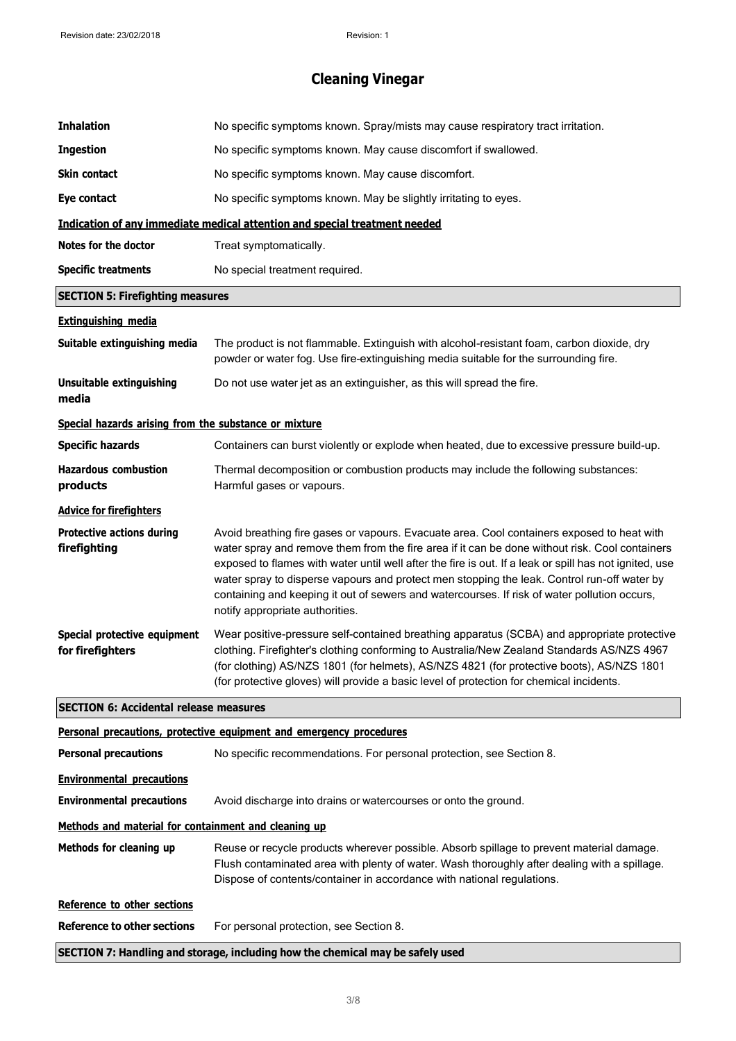| <b>Inhalation</b>                                     | No specific symptoms known. Spray/mists may cause respiratory tract irritation.                                                                                                                                                                                                                                                                                                                                                                                                                                                          |
|-------------------------------------------------------|------------------------------------------------------------------------------------------------------------------------------------------------------------------------------------------------------------------------------------------------------------------------------------------------------------------------------------------------------------------------------------------------------------------------------------------------------------------------------------------------------------------------------------------|
| <b>Ingestion</b>                                      | No specific symptoms known. May cause discomfort if swallowed.                                                                                                                                                                                                                                                                                                                                                                                                                                                                           |
| Skin contact                                          | No specific symptoms known. May cause discomfort.                                                                                                                                                                                                                                                                                                                                                                                                                                                                                        |
| <b>Eye contact</b>                                    | No specific symptoms known. May be slightly irritating to eyes.                                                                                                                                                                                                                                                                                                                                                                                                                                                                          |
|                                                       | <b>Indication of any immediate medical attention and special treatment needed</b>                                                                                                                                                                                                                                                                                                                                                                                                                                                        |
| Notes for the doctor                                  | Treat symptomatically.                                                                                                                                                                                                                                                                                                                                                                                                                                                                                                                   |
| <b>Specific treatments</b>                            | No special treatment required.                                                                                                                                                                                                                                                                                                                                                                                                                                                                                                           |
| <b>SECTION 5: Firefighting measures</b>               |                                                                                                                                                                                                                                                                                                                                                                                                                                                                                                                                          |
| <b>Extinguishing media</b>                            |                                                                                                                                                                                                                                                                                                                                                                                                                                                                                                                                          |
| Suitable extinguishing media                          | The product is not flammable. Extinguish with alcohol-resistant foam, carbon dioxide, dry<br>powder or water fog. Use fire-extinguishing media suitable for the surrounding fire.                                                                                                                                                                                                                                                                                                                                                        |
| <b>Unsuitable extinguishing</b><br>media              | Do not use water jet as an extinguisher, as this will spread the fire.                                                                                                                                                                                                                                                                                                                                                                                                                                                                   |
| Special hazards arising from the substance or mixture |                                                                                                                                                                                                                                                                                                                                                                                                                                                                                                                                          |
| <b>Specific hazards</b>                               | Containers can burst violently or explode when heated, due to excessive pressure build-up.                                                                                                                                                                                                                                                                                                                                                                                                                                               |
| <b>Hazardous combustion</b><br>products               | Thermal decomposition or combustion products may include the following substances:<br>Harmful gases or vapours.                                                                                                                                                                                                                                                                                                                                                                                                                          |
| <b>Advice for firefighters</b>                        |                                                                                                                                                                                                                                                                                                                                                                                                                                                                                                                                          |
| <b>Protective actions during</b><br>firefighting      | Avoid breathing fire gases or vapours. Evacuate area. Cool containers exposed to heat with<br>water spray and remove them from the fire area if it can be done without risk. Cool containers<br>exposed to flames with water until well after the fire is out. If a leak or spill has not ignited, use<br>water spray to disperse vapours and protect men stopping the leak. Control run-off water by<br>containing and keeping it out of sewers and watercourses. If risk of water pollution occurs,<br>notify appropriate authorities. |
| Special protective equipment<br>for firefighters      | Wear positive-pressure self-contained breathing apparatus (SCBA) and appropriate protective<br>clothing. Firefighter's clothing conforming to Australia/New Zealand Standards AS/NZS 4967<br>(for clothing) AS/NZS 1801 (for helmets), AS/NZS 4821 (for protective boots), AS/NZS 1801<br>(for protective gloves) will provide a basic level of protection for chemical incidents.                                                                                                                                                       |
| <b>SECTION 6: Accidental release measures</b>         |                                                                                                                                                                                                                                                                                                                                                                                                                                                                                                                                          |
|                                                       | Personal precautions, protective equipment and emergency procedures                                                                                                                                                                                                                                                                                                                                                                                                                                                                      |
| <b>Personal precautions</b>                           | No specific recommendations. For personal protection, see Section 8.                                                                                                                                                                                                                                                                                                                                                                                                                                                                     |
| <b>Environmental precautions</b>                      |                                                                                                                                                                                                                                                                                                                                                                                                                                                                                                                                          |
| <b>Environmental precautions</b>                      | Avoid discharge into drains or watercourses or onto the ground.                                                                                                                                                                                                                                                                                                                                                                                                                                                                          |
| Methods and material for containment and cleaning up  |                                                                                                                                                                                                                                                                                                                                                                                                                                                                                                                                          |
| Methods for cleaning up                               | Reuse or recycle products wherever possible. Absorb spillage to prevent material damage.<br>Flush contaminated area with plenty of water. Wash thoroughly after dealing with a spillage.<br>Dispose of contents/container in accordance with national regulations.                                                                                                                                                                                                                                                                       |
| Reference to other sections                           |                                                                                                                                                                                                                                                                                                                                                                                                                                                                                                                                          |
| <b>Reference to other sections</b>                    | For personal protection, see Section 8.                                                                                                                                                                                                                                                                                                                                                                                                                                                                                                  |
|                                                       | SECTION 7: Handling and storage, including how the chemical may be safely used                                                                                                                                                                                                                                                                                                                                                                                                                                                           |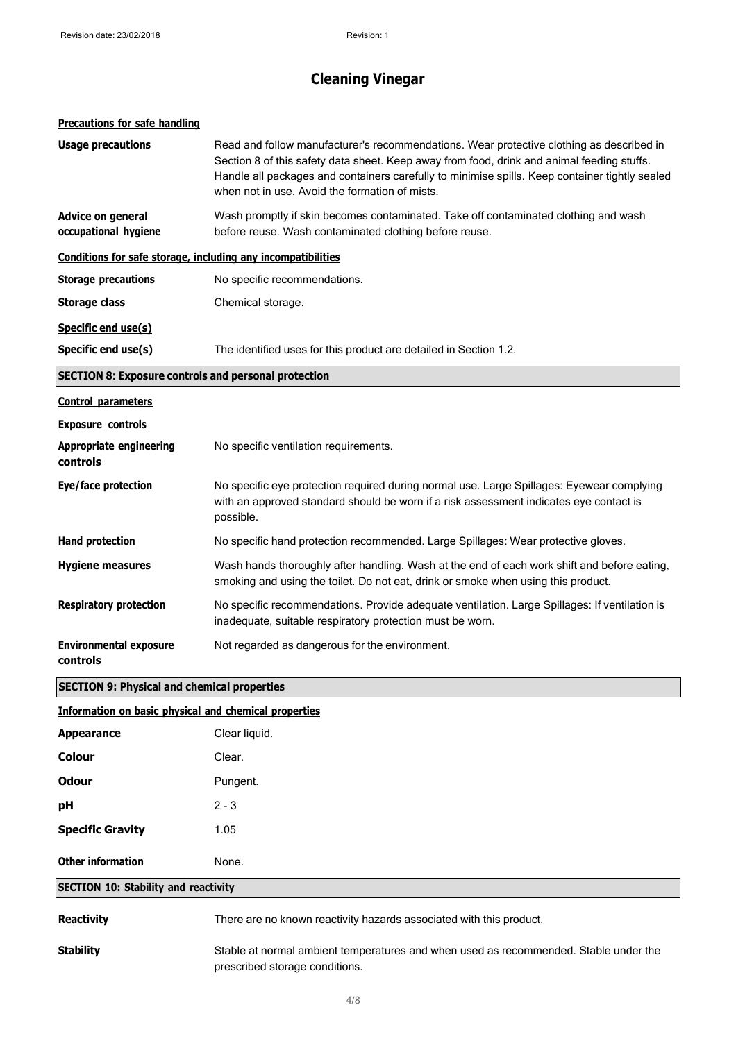| <b>Precautions for safe handling</b>                         |                                                                                                                                                                                                                                                                                                                                            |
|--------------------------------------------------------------|--------------------------------------------------------------------------------------------------------------------------------------------------------------------------------------------------------------------------------------------------------------------------------------------------------------------------------------------|
| <b>Usage precautions</b>                                     | Read and follow manufacturer's recommendations. Wear protective clothing as described in<br>Section 8 of this safety data sheet. Keep away from food, drink and animal feeding stuffs.<br>Handle all packages and containers carefully to minimise spills. Keep container tightly sealed<br>when not in use. Avoid the formation of mists. |
| Advice on general<br>occupational hygiene                    | Wash promptly if skin becomes contaminated. Take off contaminated clothing and wash<br>before reuse. Wash contaminated clothing before reuse.                                                                                                                                                                                              |
| Conditions for safe storage, including any incompatibilities |                                                                                                                                                                                                                                                                                                                                            |
| <b>Storage precautions</b>                                   | No specific recommendations.                                                                                                                                                                                                                                                                                                               |
| <b>Storage class</b>                                         | Chemical storage.                                                                                                                                                                                                                                                                                                                          |
| Specific end use(s)                                          |                                                                                                                                                                                                                                                                                                                                            |
| Specific end use(s)                                          | The identified uses for this product are detailed in Section 1.2.                                                                                                                                                                                                                                                                          |
| <b>SECTION 8: Exposure controls and personal protection</b>  |                                                                                                                                                                                                                                                                                                                                            |
| <b>Control parameters</b>                                    |                                                                                                                                                                                                                                                                                                                                            |
| <b>Exposure controls</b>                                     |                                                                                                                                                                                                                                                                                                                                            |
| <b>Appropriate engineering</b><br>controls                   | No specific ventilation requirements.                                                                                                                                                                                                                                                                                                      |
| Eye/face protection                                          | No specific eye protection required during normal use. Large Spillages: Eyewear complying<br>with an approved standard should be worn if a risk assessment indicates eye contact is<br>possible.                                                                                                                                           |
| <b>Hand protection</b>                                       | No specific hand protection recommended. Large Spillages: Wear protective gloves.                                                                                                                                                                                                                                                          |
| <b>Hygiene measures</b>                                      | Wash hands thoroughly after handling. Wash at the end of each work shift and before eating,<br>smoking and using the toilet. Do not eat, drink or smoke when using this product.                                                                                                                                                           |
| <b>Respiratory protection</b>                                | No specific recommendations. Provide adequate ventilation. Large Spillages: If ventilation is<br>inadequate, suitable respiratory protection must be worn.                                                                                                                                                                                 |
| <b>Environmental exposure</b><br>controls                    | Not regarded as dangerous for the environment.                                                                                                                                                                                                                                                                                             |
| <b>SECTION 9: Physical and chemical properties</b>           |                                                                                                                                                                                                                                                                                                                                            |
| <b>Information on basic physical and chemical properties</b> |                                                                                                                                                                                                                                                                                                                                            |
| <b>Appearance</b>                                            | Clear liquid.                                                                                                                                                                                                                                                                                                                              |
| <b>Colour</b>                                                | Clear.                                                                                                                                                                                                                                                                                                                                     |
| <b>Odour</b>                                                 | Pungent.                                                                                                                                                                                                                                                                                                                                   |

**Stability** Stable at normal ambient temperatures and when used as recommended. Stable under the prescribed storage conditions.

**Reactivity** There are no known reactivity hazards associated with this product.

**pH** 2 - 3

**Specific Gravity** 1.05

**Other information** None.

**SECTION 10: Stability and reactivity**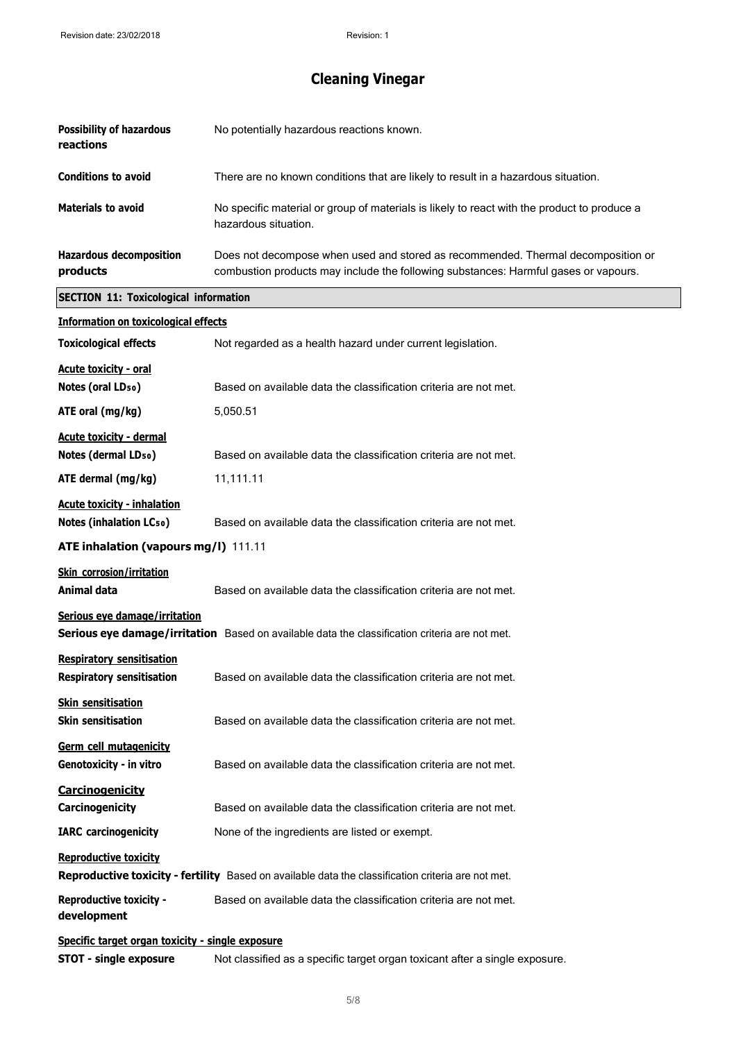| <b>Possibility of hazardous</b><br>reactions                         | No potentially hazardous reactions known.                                                                                                                               |
|----------------------------------------------------------------------|-------------------------------------------------------------------------------------------------------------------------------------------------------------------------|
| <b>Conditions to avoid</b>                                           | There are no known conditions that are likely to result in a hazardous situation.                                                                                       |
| <b>Materials to avoid</b>                                            | No specific material or group of materials is likely to react with the product to produce a<br>hazardous situation.                                                     |
| <b>Hazardous decomposition</b><br>products                           | Does not decompose when used and stored as recommended. Thermal decomposition or<br>combustion products may include the following substances: Harmful gases or vapours. |
| <b>SECTION 11: Toxicological information</b>                         |                                                                                                                                                                         |
| <b>Information on toxicological effects</b>                          |                                                                                                                                                                         |
| <b>Toxicological effects</b>                                         | Not regarded as a health hazard under current legislation.                                                                                                              |
| <b>Acute toxicity - oral</b><br>Notes (oral LD <sub>50</sub> )       | Based on available data the classification criteria are not met.                                                                                                        |
| ATE oral (mg/kg)                                                     | 5,050.51                                                                                                                                                                |
| <b>Acute toxicity - dermal</b><br>Notes (dermal LD <sub>50</sub> )   | Based on available data the classification criteria are not met.                                                                                                        |
| ATE dermal (mg/kg)                                                   | 11,111.11                                                                                                                                                               |
| <b>Acute toxicity - inhalation</b>                                   |                                                                                                                                                                         |
| <b>Notes (inhalation LCso)</b>                                       | Based on available data the classification criteria are not met.                                                                                                        |
| ATE inhalation (vapours mg/l) 111.11                                 |                                                                                                                                                                         |
| <b>Skin corrosion/irritation</b><br>Animal data                      | Based on available data the classification criteria are not met.                                                                                                        |
| Serious eye damage/irritation                                        | Serious eye damage/irritation Based on available data the classification criteria are not met.                                                                          |
| <b>Respiratory sensitisation</b><br><b>Respiratory sensitisation</b> | Based on available data the classification criteria are not met.                                                                                                        |
| <b>Skin sensitisation</b><br><b>Skin sensitisation</b>               | Based on available data the classification criteria are not met.                                                                                                        |
| <b>Germ cell mutagenicity</b><br>Genotoxicity - in vitro             | Based on available data the classification criteria are not met.                                                                                                        |
| <b>Carcinogenicity</b><br>Carcinogenicity                            | Based on available data the classification criteria are not met.                                                                                                        |
| <b>IARC</b> carcinogenicity                                          | None of the ingredients are listed or exempt.                                                                                                                           |
| <b>Reproductive toxicity</b>                                         | Reproductive toxicity - fertility Based on available data the classification criteria are not met.                                                                      |
| <b>Reproductive toxicity -</b><br>development                        | Based on available data the classification criteria are not met.                                                                                                        |
| Specific target organ toxicity - single exposure                     |                                                                                                                                                                         |
| <b>STOT - single exposure</b>                                        | Not classified as a specific target organ toxicant after a single exposure.                                                                                             |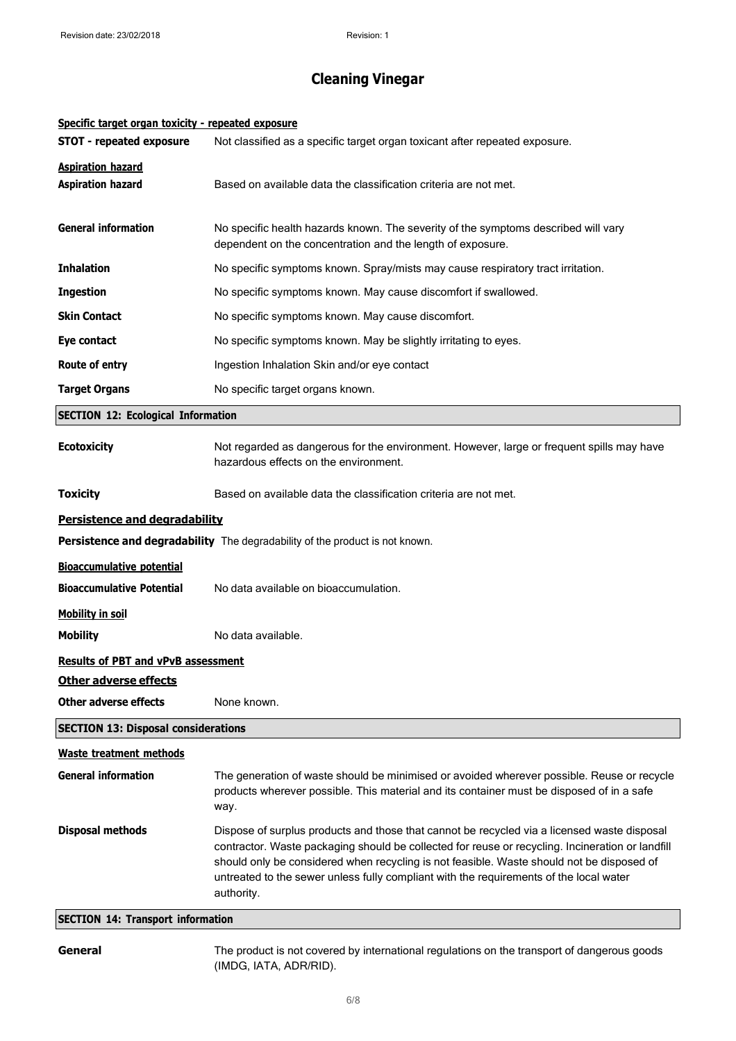| Specific target organ toxicity - repeated exposure   |                                                                                                                                                                                                                                                                                                                                                                                                      |
|------------------------------------------------------|------------------------------------------------------------------------------------------------------------------------------------------------------------------------------------------------------------------------------------------------------------------------------------------------------------------------------------------------------------------------------------------------------|
| <b>STOT - repeated exposure</b>                      | Not classified as a specific target organ toxicant after repeated exposure.                                                                                                                                                                                                                                                                                                                          |
| <b>Aspiration hazard</b><br><b>Aspiration hazard</b> | Based on available data the classification criteria are not met.                                                                                                                                                                                                                                                                                                                                     |
| <b>General information</b>                           | No specific health hazards known. The severity of the symptoms described will vary<br>dependent on the concentration and the length of exposure.                                                                                                                                                                                                                                                     |
| <b>Inhalation</b>                                    | No specific symptoms known. Spray/mists may cause respiratory tract irritation.                                                                                                                                                                                                                                                                                                                      |
| <b>Ingestion</b>                                     | No specific symptoms known. May cause discomfort if swallowed.                                                                                                                                                                                                                                                                                                                                       |
| <b>Skin Contact</b>                                  | No specific symptoms known. May cause discomfort.                                                                                                                                                                                                                                                                                                                                                    |
| Eye contact                                          | No specific symptoms known. May be slightly irritating to eyes.                                                                                                                                                                                                                                                                                                                                      |
| Route of entry                                       | Ingestion Inhalation Skin and/or eye contact                                                                                                                                                                                                                                                                                                                                                         |
| <b>Target Organs</b>                                 | No specific target organs known.                                                                                                                                                                                                                                                                                                                                                                     |
| <b>SECTION 12: Ecological Information</b>            |                                                                                                                                                                                                                                                                                                                                                                                                      |
| <b>Ecotoxicity</b>                                   | Not regarded as dangerous for the environment. However, large or frequent spills may have<br>hazardous effects on the environment.                                                                                                                                                                                                                                                                   |
| <b>Toxicity</b>                                      | Based on available data the classification criteria are not met.                                                                                                                                                                                                                                                                                                                                     |
| <b>Persistence and degradability</b>                 |                                                                                                                                                                                                                                                                                                                                                                                                      |
|                                                      | <b>Persistence and degradability</b> The degradability of the product is not known.                                                                                                                                                                                                                                                                                                                  |
| <b>Bioaccumulative potential</b>                     |                                                                                                                                                                                                                                                                                                                                                                                                      |
| <b>Bioaccumulative Potential</b>                     | No data available on bioaccumulation.                                                                                                                                                                                                                                                                                                                                                                |
| <b>Mobility in soil</b>                              |                                                                                                                                                                                                                                                                                                                                                                                                      |
| <b>Mobility</b>                                      | No data available.                                                                                                                                                                                                                                                                                                                                                                                   |
| <b>Results of PBT and vPvB assessment</b>            |                                                                                                                                                                                                                                                                                                                                                                                                      |
| <b>Other adverse effects</b>                         |                                                                                                                                                                                                                                                                                                                                                                                                      |
| <b>Other adverse effects</b>                         | None known.                                                                                                                                                                                                                                                                                                                                                                                          |
| <b>SECTION 13: Disposal considerations</b>           |                                                                                                                                                                                                                                                                                                                                                                                                      |
| <b>Waste treatment methods</b>                       |                                                                                                                                                                                                                                                                                                                                                                                                      |
| <b>General information</b>                           | The generation of waste should be minimised or avoided wherever possible. Reuse or recycle<br>products wherever possible. This material and its container must be disposed of in a safe<br>way.                                                                                                                                                                                                      |
| <b>Disposal methods</b>                              | Dispose of surplus products and those that cannot be recycled via a licensed waste disposal<br>contractor. Waste packaging should be collected for reuse or recycling. Incineration or landfill<br>should only be considered when recycling is not feasible. Waste should not be disposed of<br>untreated to the sewer unless fully compliant with the requirements of the local water<br>authority. |
| <b>SECTION 14: Transport information</b>             |                                                                                                                                                                                                                                                                                                                                                                                                      |

General The product is not covered by international regulations on the transport of dangerous goods (IMDG, IATA, ADR/RID).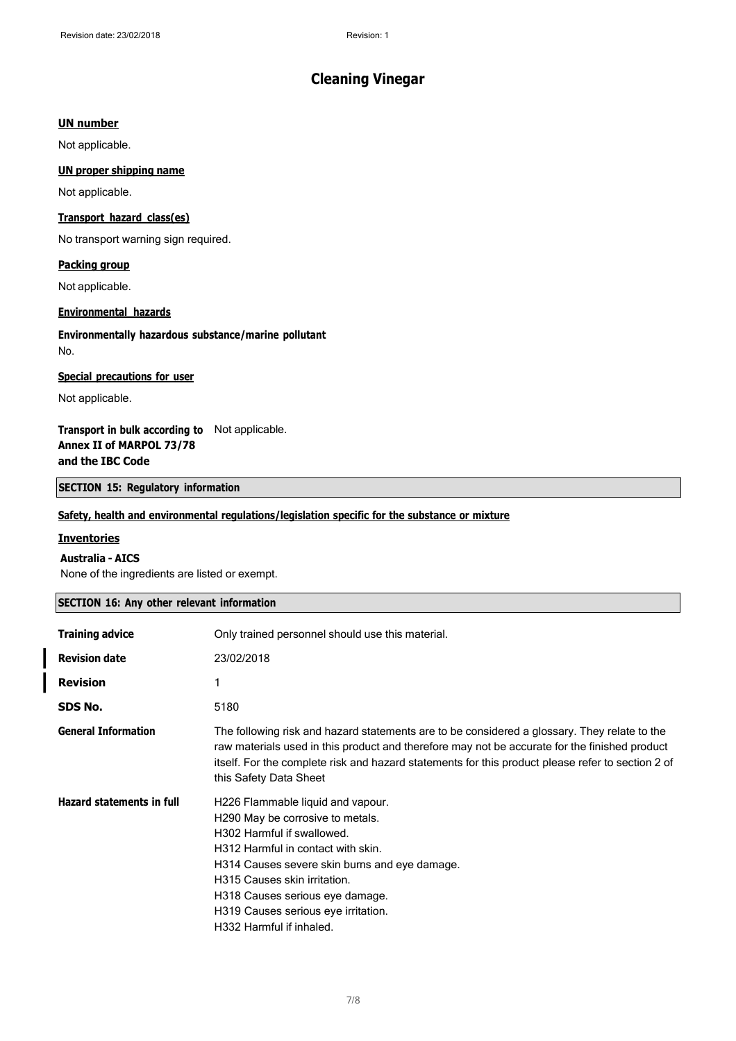#### **UN number**

Not applicable.

#### **UN proper shipping name**

Not applicable.

#### **Transport hazard class(es)**

No transport warning sign required.

#### **Packing group**

Not applicable.

#### **Environmental hazards**

#### **Environmentally hazardous substance/marine pollutant** No.

#### **Special precautions for user**

Not applicable.

### **Transport in bulk according to** Not applicable. **Annex II of MARPOL 73/78 and the IBC Code**

#### **SECTION 15: Regulatory information**

#### **Safety, health and environmental regulations/legislation specific for the substance or mixture**

#### **Inventories**

#### **Australia - AICS**

None of the ingredients are listed or exempt.

#### **SECTION 16: Any other relevant information**

| <b>Training advice</b>           | Only trained personnel should use this material.                                                                                                                                                                                                                                                                                 |
|----------------------------------|----------------------------------------------------------------------------------------------------------------------------------------------------------------------------------------------------------------------------------------------------------------------------------------------------------------------------------|
| <b>Revision date</b>             | 23/02/2018                                                                                                                                                                                                                                                                                                                       |
| <b>Revision</b>                  |                                                                                                                                                                                                                                                                                                                                  |
| SDS No.                          | 5180                                                                                                                                                                                                                                                                                                                             |
| <b>General Information</b>       | The following risk and hazard statements are to be considered a glossary. They relate to the<br>raw materials used in this product and therefore may not be accurate for the finished product<br>itself. For the complete risk and hazard statements for this product please refer to section 2 of<br>this Safety Data Sheet     |
| <b>Hazard statements in full</b> | H226 Flammable liquid and vapour.<br>H290 May be corrosive to metals.<br>H302 Harmful if swallowed.<br>H312 Harmful in contact with skin.<br>H314 Causes severe skin burns and eye damage.<br>H315 Causes skin irritation.<br>H318 Causes serious eye damage.<br>H319 Causes serious eye irritation.<br>H332 Harmful if inhaled. |